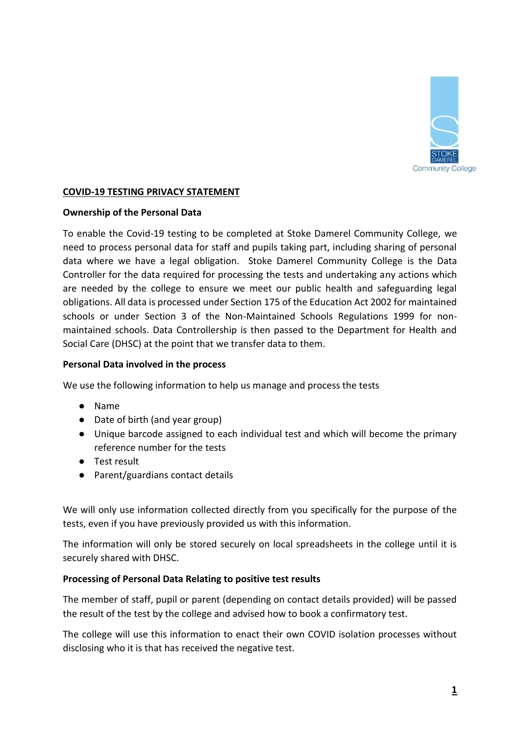

# **COVID-19 TESTING PRIVACY STATEMENT**

### **Ownership of the Personal Data**

To enable the Covid-19 testing to be completed at Stoke Damerel Community College, we need to process personal data for staff and pupils taking part, including sharing of personal data where we have a legal obligation. Stoke Damerel Community College is the Data Controller for the data required for processing the tests and undertaking any actions which are needed by the college to ensure we meet our public health and safeguarding legal obligations. All data is processed under Section 175 of the Education Act 2002 for maintained schools or under Section 3 of the Non-Maintained Schools Regulations 1999 for nonmaintained schools. Data Controllership is then passed to the Department for Health and Social Care (DHSC) at the point that we transfer data to them.

### **Personal Data involved in the process**

We use the following information to help us manage and process the tests

- Name
- Date of birth (and year group)
- Unique barcode assigned to each individual test and which will become the primary reference number for the tests
- Test result
- Parent/guardians contact details

We will only use information collected directly from you specifically for the purpose of the tests, even if you have previously provided us with this information.

The information will only be stored securely on local spreadsheets in the college until it is securely shared with DHSC.

## **Processing of Personal Data Relating to positive test results**

The member of staff, pupil or parent (depending on contact details provided) will be passed the result of the test by the college and advised how to book a confirmatory test.

The college will use this information to enact their own COVID isolation processes without disclosing who it is that has received the negative test.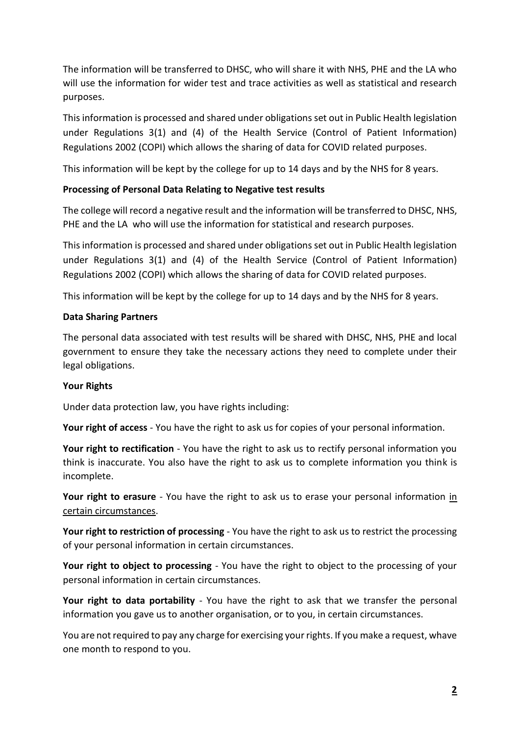The information will be transferred to DHSC, who will share it with NHS, PHE and the LA who will use the information for wider test and trace activities as well as statistical and research purposes.

This information is processed and shared under obligations set out in Public Health legislation under Regulations 3(1) and (4) of the Health Service (Control of Patient Information) Regulations 2002 (COPI) which allows the sharing of data for COVID related purposes.

This information will be kept by the college for up to 14 days and by the NHS for 8 years.

# **Processing of Personal Data Relating to Negative test results**

The college will record a negative result and the information will be transferred to DHSC, NHS, PHE and the LA who will use the information for statistical and research purposes.

This information is processed and shared under obligations set out in Public Health legislation under Regulations 3(1) and (4) of the Health Service (Control of Patient Information) Regulations 2002 (COPI) which allows the sharing of data for COVID related purposes.

This information will be kept by the college for up to 14 days and by the NHS for 8 years.

## **Data Sharing Partners**

The personal data associated with test results will be shared with DHSC, NHS, PHE and local government to ensure they take the necessary actions they need to complete under their legal obligations.

## **Your Rights**

Under data protection law, you have rights including:

**Your right of access** - You have the right to ask us for copies of your personal information.

**Your right to rectification** - You have the right to ask us to rectify personal information you think is inaccurate. You also have the right to ask us to complete information you think is incomplete.

**Your right to erasure** - You have the right to ask us to erase your personal information in certain circumstances.

**Your right to restriction of processing** - You have the right to ask us to restrict the processing of your personal information in certain circumstances.

Your right to object to processing - You have the right to object to the processing of your personal information in certain circumstances.

**Your right to data portability** - You have the right to ask that we transfer the personal information you gave us to another organisation, or to you, in certain circumstances.

You are not required to pay any charge for exercising your rights. If you make a request, whave one month to respond to you.